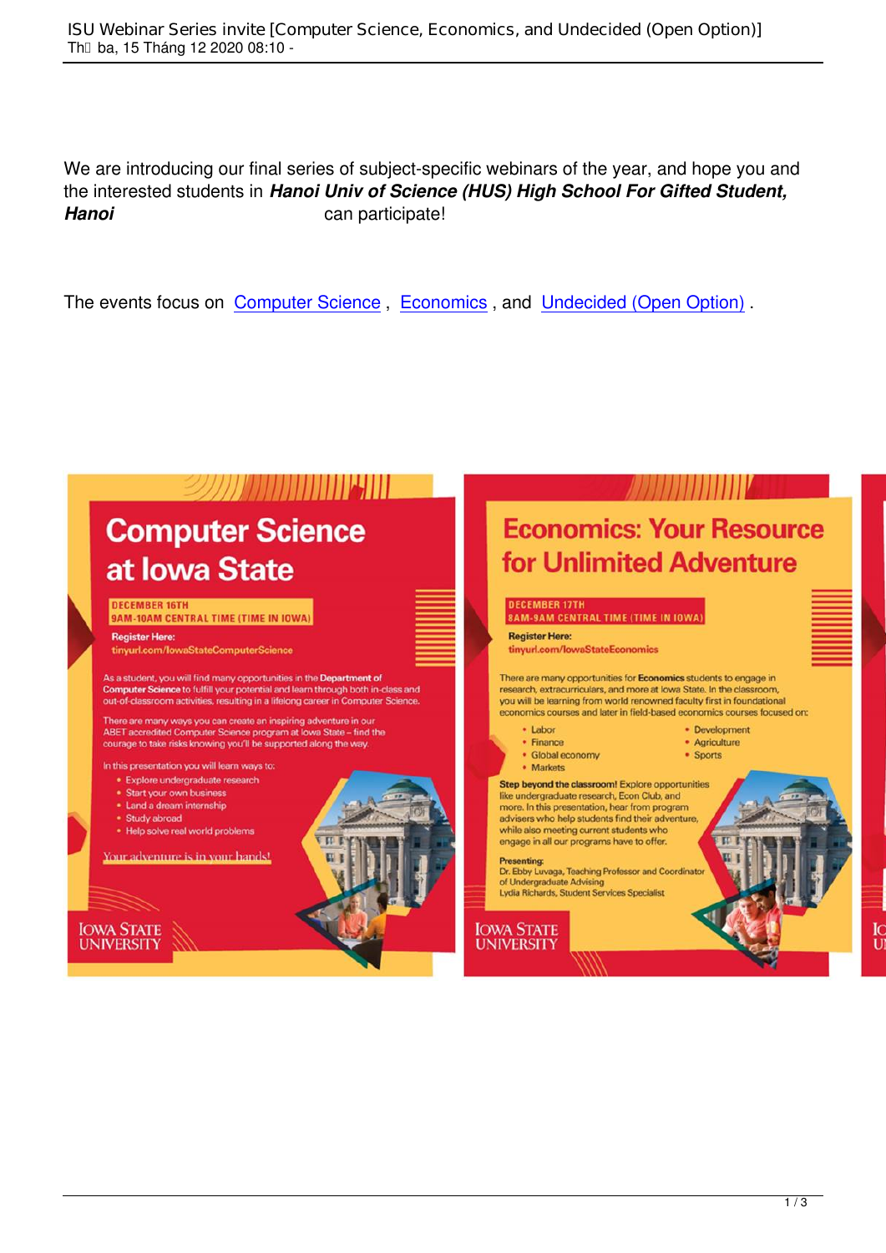We are introducing our final series of subject-specific webinars of the year, and hope you and the interested students in Hanoi Univ of Science (HUS) High School For Gifted Student. Hanoi can participate!

The events focus on Computer Science, Economics, and Undecided (Open Option).

# 2277 The Telecommunication

# **Computer Science** at Iowa State

## **DECEMBER 16TH**

9AM-10AM CENTRAL TIME (TIME IN IOWA)

### **Register Here:**

tinyurl.com/lowaStateComputerScience

As a student, you will find many opportunities in the Department of Computer Science to fulfill your potential and learn through both in-class and out-of-classroom activities, resulting in a lifelong career in Computer Science.

There are many ways you can create an inspiring adventure in our<br>ABET accredited Computer Science program at lowa State - find the<br>courage to take risks knowing you'll be supported along the way.

In this presentation you will learn ways to:

- \* Explore undergraduate research
- \* Start your own business
- · Land a dream internship
- · Study abroad

. Help solve real world problems

Your adventure is in your hands!

**IOWA STATE UNIVERSITY** 



• Development · Agriculture

• Sports

## **Economics: Your Resource** for Unlimited Adventure

### **DECEMBER 17TH 8AM-9AM CENTRAL TIME (TIME IN IOWA)**

**Register Here:** 

tinyurl.com/lowaStateEconomics

There are many opportunities for Economics students to engage in research, extracurriculars, and more at lowa State. In the classroom, you will be learning from world renowned faculty first in foundational economics courses and later in field-based economics courses focused on:

## • Labor

- Finance • Global economy
- Markets
- 

Step beyond the classroom! Explore opportunities like undergraduate research, Econ Club, and more. In this presentation, hear from program advisers who help students find their adventure while also meeting current students who engage in all our programs have to offer.

### **Presenting:**

Dr. Ebby Luvaga, Teaching Professor and Coordinate of Undergraduate Advising<br>Lydia Richards, Student Services Specialist

**IOWA STATE UNIVERSITY** 

F

Are

Do

Are

are

Thi

Cor

sup

You

the<br>hel

exp

car

Pre

Tay

Op

**IOWA** 

**UNIV**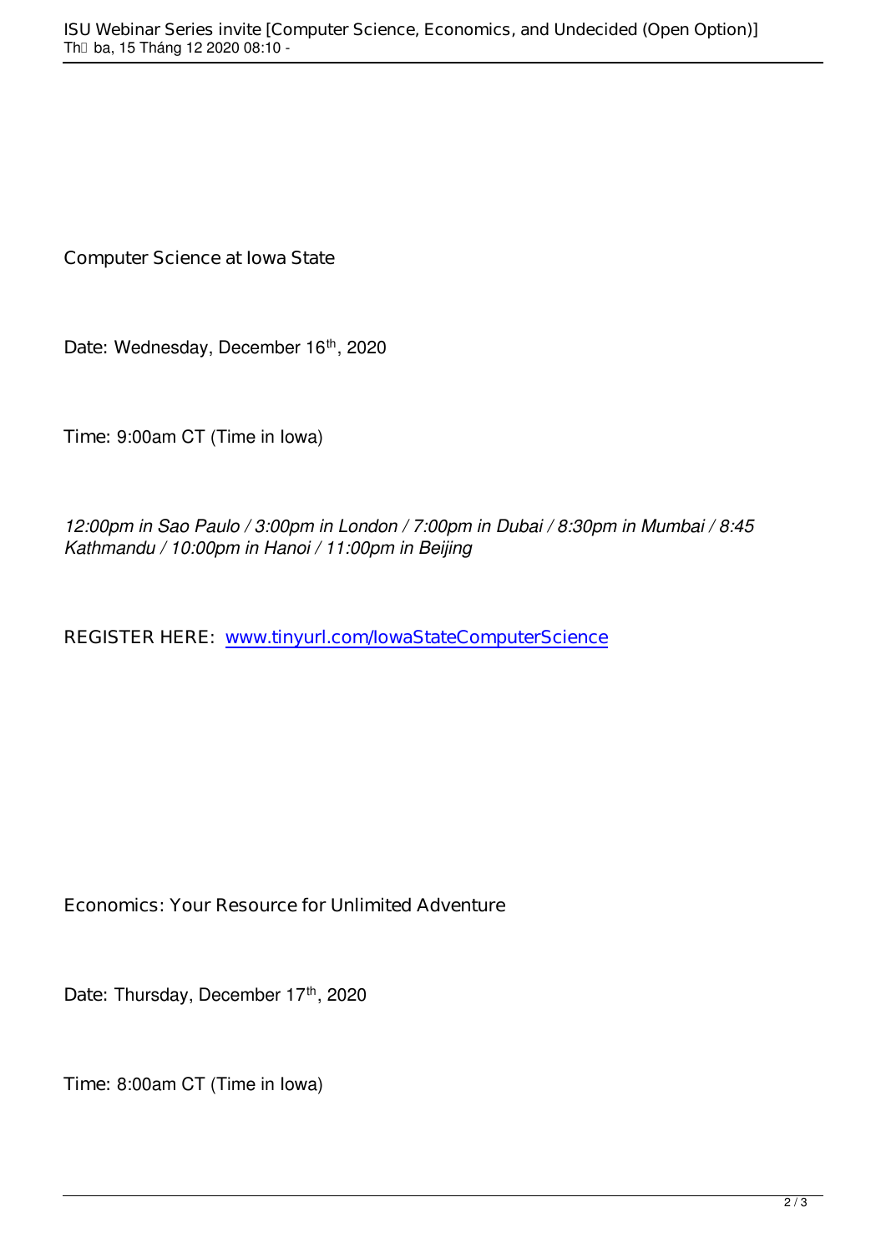**Computer Science at Iowa State**

Date: Wednesday, December 16<sup>th</sup>, 2020

**Time:** 9:00am CT (Time in Iowa)

*12:00pm in Sao Paulo / 3:00pm in London / 7:00pm in Dubai / 8:30pm in Mumbai / 8:45 Kathmandu / 10:00pm in Hanoi / 11:00pm in Beijing*

REGISTER HERE: www.tinyurl.com/lowaStateComputerScience

**Economics: Your Resource for Unlimited Adventure**

Date: Thursday, December 17<sup>th</sup>, 2020

**Time:** 8:00am CT (Time in Iowa)